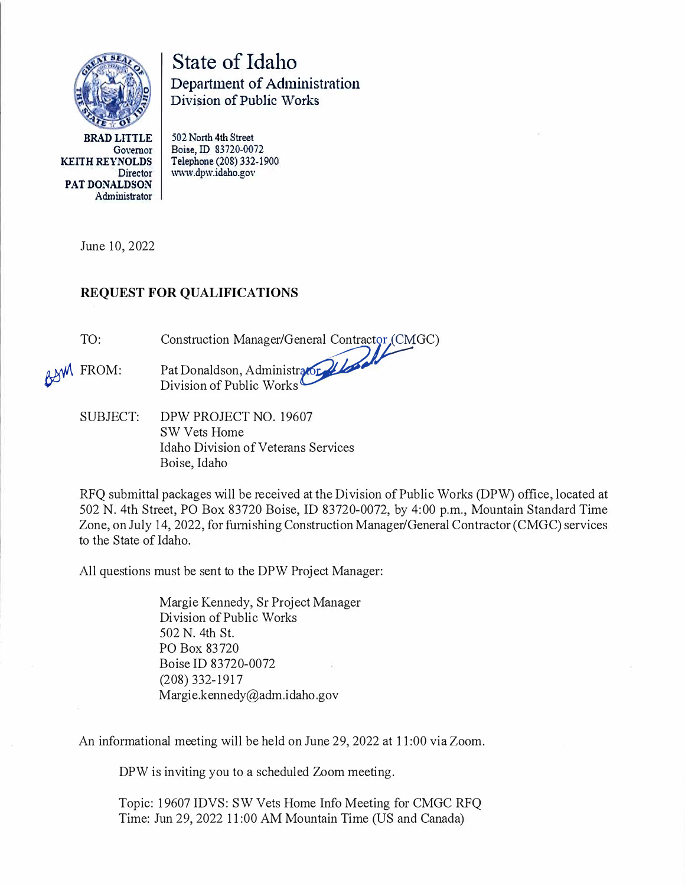

State of Idaho Department of Administration Division of Public \Vorks

**BRAD LITTLE KEITH REYNOLDS**  Govemor Director **PAT DONALDSON**  Administrator **502 North 4th Street Boise, ID 83720-0072 www.dpw.idaho.gov Telephone (208) 332-1900** 

June 10, 2022

## **REQUEST FOR QUALIFICATIONS**

TO: Construction Manager/General Contractor (CMGC)

- ASM FROM: Pat Donaldson, Administrator. Division of Public Works
	- SUBJECT: DPW PROJECT NO. 19607 SW Vets Home Idaho Division of Veterans Services Boise, Idaho

RFQ submittal packages will be received at the Division of Public Works (DPW) office, located at 502 N. 4th Street, PO Box 83720 Boise, ID 83720-0072, by 4:00 p.m., Mountain Standard Time Zone, on July 14, 2022, for furnishing Construction Manager/General Contractor (CMGC) services to the State of Idaho.

All questions must be sent to the DPW Project Manager:

Margie Kennedy, Sr Project Manager Division of Public Works 502 N. 4th St. PO Box 83720 Boise ID 83720-0072 (208) 332-1917 Margie.kennedy@adm.idaho.gov

An informational meeting will be held on June 29, 2022 at 11 :00 via Zoom.

DPW is inviting you to a scheduled Zoom meeting.

Topic: 19607 IDVS: SW Vets Home Info Meeting for CMGC RFQ Time: Jun 29, 2022 11 :00 AM Mountain Time (US and Canada)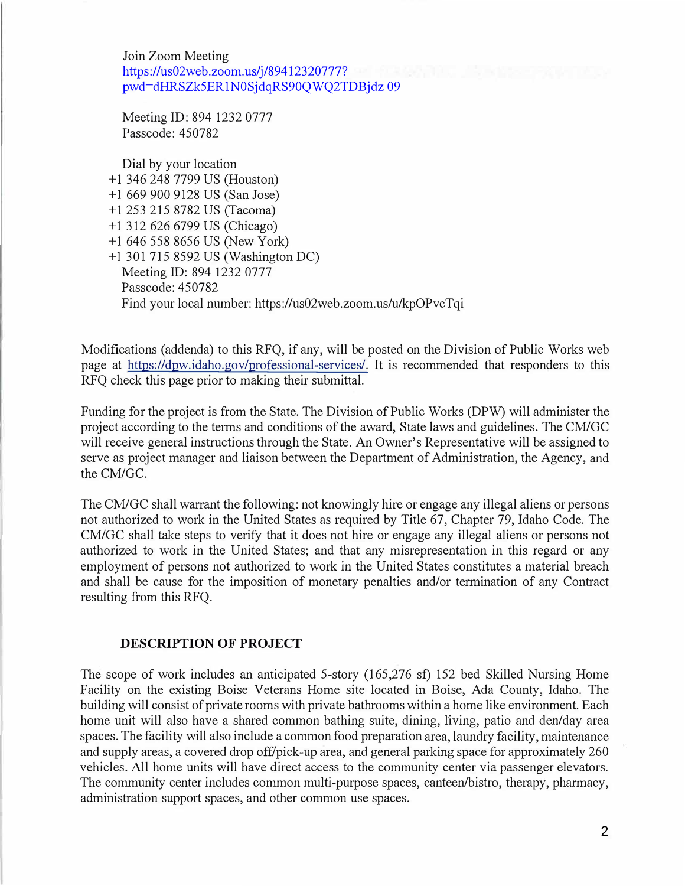Join Zoom Meeting https://us02web.zoom.us/j/89412320777? pw[d=dHRSZk5ER1N0SjdqRS90QWQ2TDBjdz 09](https://us02web.zoom.us/j/89412320777?pwd=dHRSZk5ER1N0SjdqRS90QWQ2TDBjdz 09)

Meeting ID: 894 1232 0777 Passcode: 450782

Dial by your location + 1 346 248 7799 US (Houston) + 1 669 900 9128 US (San Jose) + 1 253 215 8782 US (Tacoma) + 1 312 626 6799 US (Chicago) + 1 646 558 8656 US (New York) +1 301 715 8592 US (Washington DC) Meeting ID: 894 1232 0777 Passcode: 450782 Find your local number: https://us02web.zoom.us/u/kpOPvcTqi

Modifications (addenda) to this RFQ, if any, will be posted on the Division of Public Works web page at https://dpw.idaho.gov/professional-services/. It is recommended that responders to this RFQ check this page prior to making their submittal.

Funding for the project is from the State. The Division of Public Works (DPW) will administer the project according to the terms and conditions of the award, State laws and guidelines. The CM/GC will receive general instructions through the State. An Owner's Representative will be assigned to serve as project manager and liaison between the Department of Administration, the Agency, and the CM/GC.

The CM/GC shall warrant the following: not knowingly hire or engage any illegal aliens or persons not authorized to work in the United States as required by Title 67, Chapter 79, Idaho Code. The CM/GC shall take steps to verify that it does not hire or engage any illegal aliens or persons not authorized to work in the United States; and that any misrepresentation in this regard or any employment of persons not authorized to work in the United States constitutes a material breach and shall be cause for the imposition of monetary penalties and/or termination of any Contract resulting from this RFQ.

### **DESCRIPTION OF PROJECT**

The scope of work includes an anticipated 5-story (165,276 sf) 152 bed Skilled Nursing Home Facility on the existing Boise Veterans Home site located in Boise, Ada County, Idaho. The building will consist of private rooms with private bathrooms within a home like environment. Each home unit will also have a shared common bathing suite, dining, living, patio and den/day area spaces. The facility will also include a common food preparation area, laundry facility, maintenance and supply areas, a covered drop off/pick-up area, and general parking space for approximately 260 vehicles. All home units will have direct access to the community center via passenger elevators. The community center includes common multi-purpose spaces, canteen/bistro, therapy, pharmacy, administration support spaces, and other common use spaces.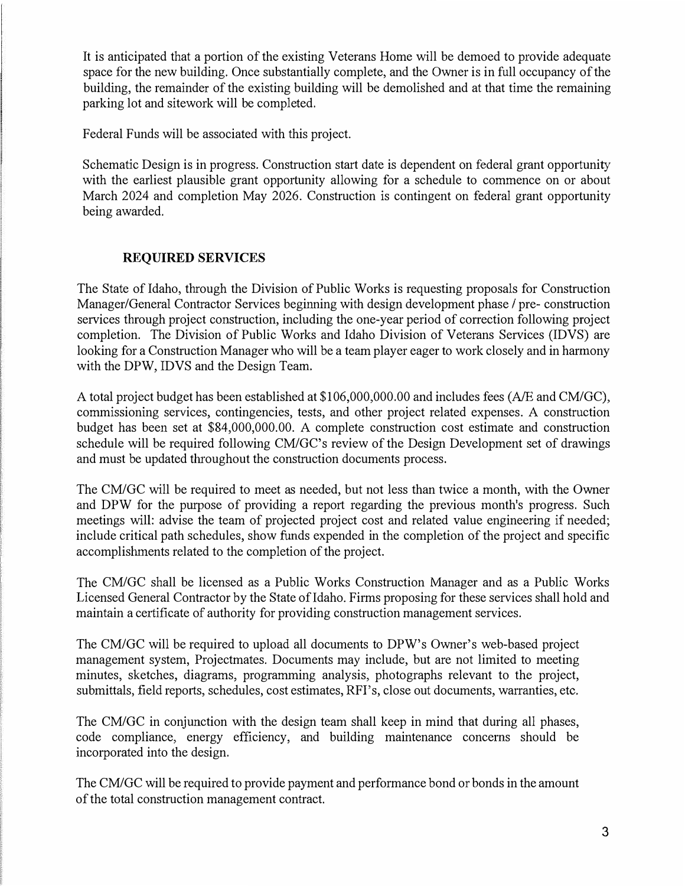It is anticipated that a portion of the existing Veterans Home will be demoed to provide adequate space for the new building. Once substantially complete, and the Owner is in full occupancy of the building, the remainder of the existing building will be demolished and at that time the remaining parking lot and sitework will be completed.

Federal Funds will be associated with this project.

Schematic Design is in progress. Construction start date is dependent on federal grant opportunity with the earliest plausible grant opportunity allowing for a schedule to commence on or about March 2024 and completion May 2026. Construction is contingent on federal grant opportunity being awarded.

### **REQUIRED SERVICES**

The State of Idaho, through the Division of Public Works is requesting proposals for Construction Manager/General Contractor Services beginning with design development phase / pre- construction services through project construction, including the one-year period of correction following project completion. The Division of Public Works and Idaho Division of Veterans Services (IDVS) are looking for a Construction Manager who will be a team player eager to work closely and in harmony with the DPW, IDVS and the Design Team.

A total project budget has been established at \$106,000,000.00 and includes fees (A/E and CM/GC), commissioning services, contingencies, tests, and other project related expenses. A construction budget has been set at \$84,000,000.00. A complete construction cost estimate and construction schedule will be required following CM/GC's review of the Design Development set of drawings and must be updated throughout the construction documents process.

The CM/GC will be required to meet as needed, but not less than twice a month, with the Owner and DPW for the purpose of providing a report regarding the previous month's progress. Such meetings will: advise the team of projected project cost and related value engineering if needed; include critical path schedules, show funds expended in the completion of the project and specific accomplislnnents related to the completion of the project.

The CM/GC shall be licensed as a Public Works Construction Manager and as a Public Works Licensed General Contractor by the State of Idaho. Firms proposing for these services shall hold and maintain a certificate of authority for providing construction management services.

The CM/GC will be required to upload all documents to DPW's Owner's web-based project management system, Projectmates. Documents may include, but are not limited to meeting minutes, sketches, diagrams, programming analysis, photographs relevant to the project, submittals, field reports, schedules, cost estimates, RFI's, close out documents, warranties, etc.

The CM/GC in conjunction with the design team shall keep in mind that during all phases, code compliance, energy efficiency, and building maintenance concerns should be incorporated into the design.

The CM/GC will be required to provide payment and performance bond or bonds in the amount of the total construction management contract.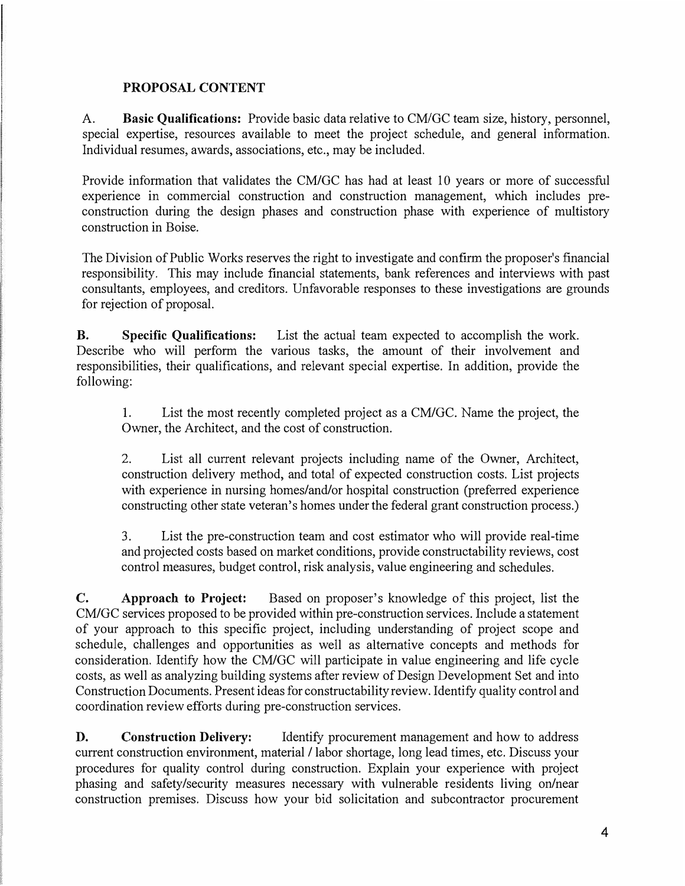### **PROPOSAL CONTENT**

A. **Basic Qualifications:** Provide basic data relative to CM/GC team size, history, personnel, special expertise, resources available to meet the project schedule, and general information. Individual resumes, awards, associations, etc., may be included.

Provide information that validates the CM/GC has had at least IO years or more of successful experience in commercial construction and construction management, which includes preconstruction during the design phases and construction phase with experience of multistory construction in Boise.

The Division of Public Works reserves the right to investigate and confirm the proposer's financial responsibility. This may include financial statements, bank references and interviews with past consultants, employees, and creditors. Unfavorable responses to these investigations are grounds for rejection of proposal.

**B. Specific Qualifications:** List the actual team expected to accomplish the work. Describe who will perform the various tasks, the amount of their involvement and responsibilities, their qualifications, and relevant special expertise. In addition, provide the following:

I. List the most recently completed project as a CM/GC. Name the project, the Owner, the Architect, and the cost of construction.

2. List all current relevant projects including name of the Owner, Architect, construction delivery method, and total of expected construction costs. List projects with experience in nursing homes/and/or hospital construction (preferred experience constructing other state veteran's homes under the federal grant construction process.)

3. List the pre-construction team and cost estimator who will provide real-time and projected costs based on market conditions, provide constructability reviews, cost control measures, budget control, risk analysis, value engineering and schedules.

**C. Approach to Project:** Based on proposer's knowledge of this project, list the CM/GC services proposed to be provided within pre-construction services. Include a statement of your approach to this specific project, including understanding of project scope and schedule, challenges and opportunities as well as alternative concepts and methods for consideration. Identify how the CM/GC will participate in value engineering and life cycle costs, as well as analyzing building systems after review of Design Development Set and into Construction Documents. Present ideas for constructability review. Identify quality control and coordination review efforts during pre-construction services.

**D. Construction Delivery:** Identify procurement management and how to address current construction environment, material / labor shortage, long lead times, etc. Discuss your procedures for quality control during construction. Explain your experience with project phasing and safety/security measures necessary with vulnerable residents living on/near construction premises. Discuss how your bid solicitation and subcontractor procurement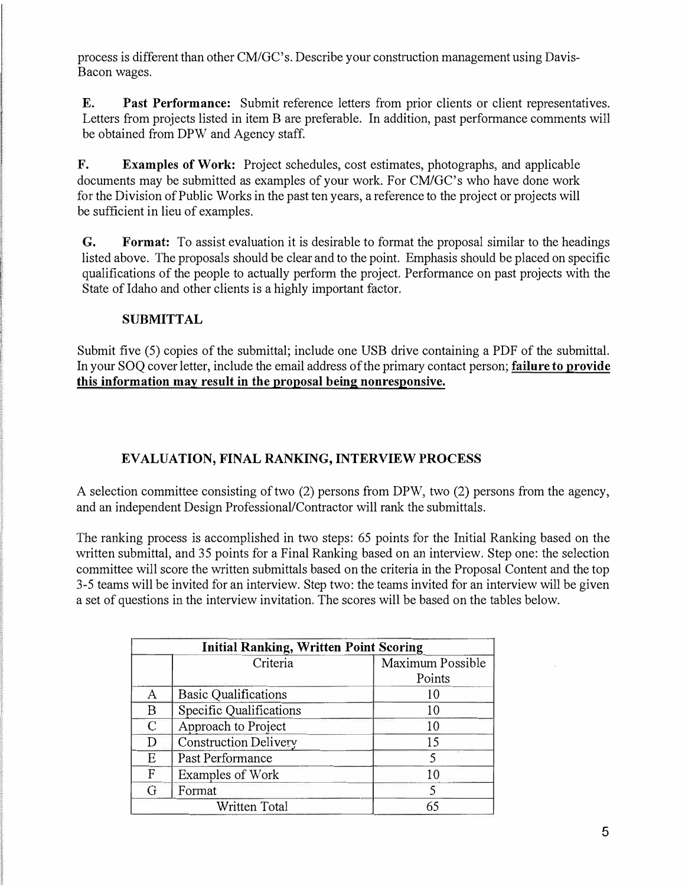process is different than other CM/GC's. Describe yonr construction management using Davis-Bacon wages.

**E.**Past Performance: Submit reference letters from prior clients or client representatives. Letters from projects listed in item B are preferable. In addition, past performance comments will be obtained from DPW and Agency staff.

**F. Examples of Work:** Project schedules, cost estimates, photographs, and applicable documents may be submitted as examples of your work. For CM/GC's who have done work for the Division of Public Works in the past ten years, a reference to the project or projects will be sufficient in lieu of examples.

**G. Format:** To assist evaluation it is desirable to format the proposal similar to the headings listed above. The proposals should be clear and to the point. Emphasis should be placed on specific qualifications of the people to actually perform the project. Performance on past projects with the State of Idaho and other clients is a highly important factor.

## **SUBMITTAL**

Submit five (5) copies of the submittal; include one USB drive containing a PDF of the submittal. In yonr SOQ cover letter, include the email address of the primary contact person; **failure to provide this information may result in the proposal being nonresponsive.** 

# **EVALUATION, FINAL RANKING, INTERVIEW PROCESS**

A selection committee consisting of two (2) persons from DPW, two (2) persons from the agency, and an independent Design Professional/Contractor will rank the submittals.

The ranking process is accomplished in two steps: 65 points for the Initial Ranking based on the written submittal, and 35 points for a Final Ranking based on an interview. Step one: the selection committee will score the written submittals based on the criteria in the Proposal Content and the top 3-5 teams will be invited for an interview. Step two: the teams invited for an interview will be given a set of questions in the interview invitation. The scores will be based on the tables below.

| <b>Initial Ranking, Written Point Scoring</b> |                                |                  |
|-----------------------------------------------|--------------------------------|------------------|
|                                               | Criteria                       | Maximum Possible |
|                                               |                                | Points           |
| A                                             | <b>Basic Qualifications</b>    | 10               |
| B                                             | <b>Specific Qualifications</b> | 10               |
| $\mathcal{C}$                                 | Approach to Project            | 10               |
| D                                             | <b>Construction Delivery</b>   | 15               |
| Ε                                             | Past Performance               |                  |
| $\mathbf{F}$                                  | Examples of Work               | 10               |
| G                                             | Format                         |                  |
| Written Total                                 |                                | 65               |